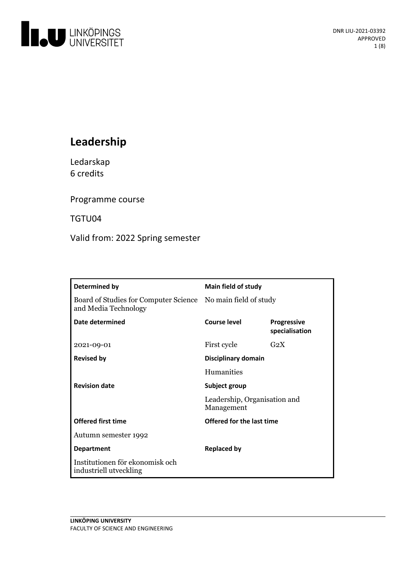

# **Leadership**

Ledarskap 6 credits

Programme course

TGTU04

Valid from: 2022 Spring semester

| Determined by                                                                        | <b>Main field of study</b>                                  |                                      |
|--------------------------------------------------------------------------------------|-------------------------------------------------------------|--------------------------------------|
| Board of Studies for Computer Science No main field of study<br>and Media Technology |                                                             |                                      |
| Date determined                                                                      | Course level                                                | <b>Progressive</b><br>specialisation |
| 2021-09-01                                                                           | First cycle                                                 | $G_2X$                               |
| <b>Revised by</b>                                                                    | Disciplinary domain                                         |                                      |
|                                                                                      | <b>Humanities</b>                                           |                                      |
| <b>Revision date</b>                                                                 | Subject group<br>Leadership, Organisation and<br>Management |                                      |
|                                                                                      |                                                             |                                      |
| <b>Offered first time</b>                                                            | Offered for the last time                                   |                                      |
| Autumn semester 1992                                                                 |                                                             |                                      |
| <b>Department</b>                                                                    | Replaced by                                                 |                                      |
| Institutionen för ekonomisk och<br>industriell utveckling                            |                                                             |                                      |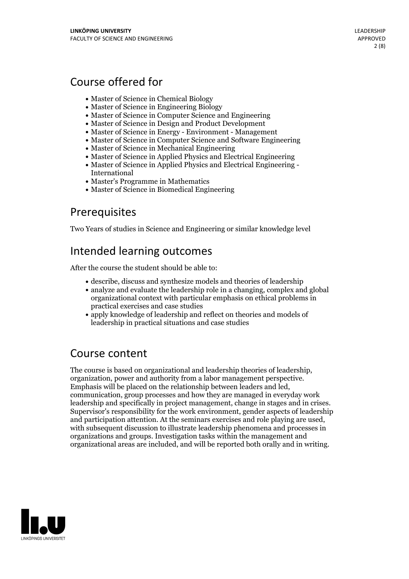## Course offered for

- Master of Science in Chemical Biology
- Master of Science in Engineering Biology
- Master of Science in Computer Science and Engineering
- Master of Science in Design and Product Development
- Master of Science in Energy Environment Management
- Master of Science in Computer Science and Software Engineering
- Master of Science in Mechanical Engineering
- Master of Science in Applied Physics and Electrical Engineering
- Master of Science in Applied Physics and Electrical Engineering International
- Master's Programme in Mathematics
- Master of Science in Biomedical Engineering

## **Prerequisites**

Two Years of studies in Science and Engineering or similar knowledge level

## Intended learning outcomes

After the course the student should be able to:

- describe, discuss and synthesize models and theories of leadership
- analyze and evaluate the leadership role in a changing, complex and global organizational context with particular emphasis on ethical problems in practical exercises and case studies
- apply knowledge of leadership and reflect on theories and models of leadership in practical situations and case studies

## Course content

The course is based on organizational and leadership theories of leadership,<br>organization, power and authority from a labor management perspective.<br>Emphasis will be placed on the relationship between leaders and led,<br>commu leadership and specifically in project management, change in stages and in crises. Supervisor's responsibility for the work environment, gender aspects of leadership and participation attention. At the seminars exercises and role playing are used, with subsequent discussion to illustrate leadership phenomena and processes in organizations and groups. Investigation tasks within the management and organizational areas are included, and will be reported both orally and in writing.

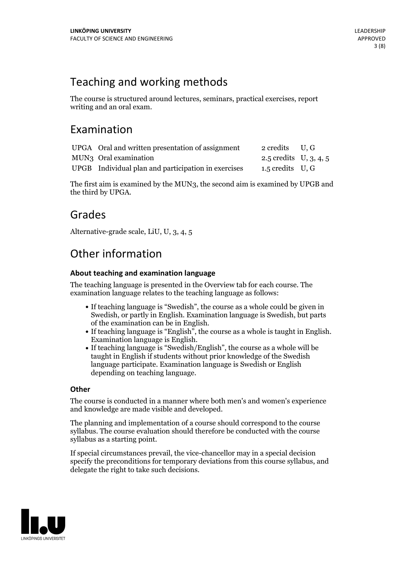## Teaching and working methods

The course is structured around lectures, seminars, practical exercises, report writing and an oral exam.

## Examination

| UPGA Oral and written presentation of assignment    | 2 credits U, G           |  |
|-----------------------------------------------------|--------------------------|--|
| MUN <sub>3</sub> Oral examination                   | 2.5 credits $U, 3, 4, 5$ |  |
| UPGB Individual plan and participation in exercises | $1.5$ credits U, G       |  |

The first aim is examined by the MUN3, the second aim is examined by UPGB and the third by UPGA.

## Grades

Alternative-grade scale, LiU, U, 3, 4, 5

## Other information

## **About teaching and examination language**

The teaching language is presented in the Overview tab for each course. The examination language relates to the teaching language as follows:

- If teaching language is "Swedish", the course as a whole could be given in Swedish, or partly in English. Examination language is Swedish, but parts
- of the examination can be in English. If teaching language is "English", the course as <sup>a</sup> whole is taught in English. Examination language is English. If teaching language is "Swedish/English", the course as <sup>a</sup> whole will be
- taught in English if students without prior knowledge of the Swedish language participate. Examination language is Swedish or English depending on teaching language.

### **Other**

The course is conducted in a manner where both men's and women's experience and knowledge are made visible and developed.

The planning and implementation of a course should correspond to the course syllabus. The course evaluation should therefore be conducted with the course syllabus as a starting point.

If special circumstances prevail, the vice-chancellor may in a special decision specify the preconditions for temporary deviations from this course syllabus, and delegate the right to take such decisions.

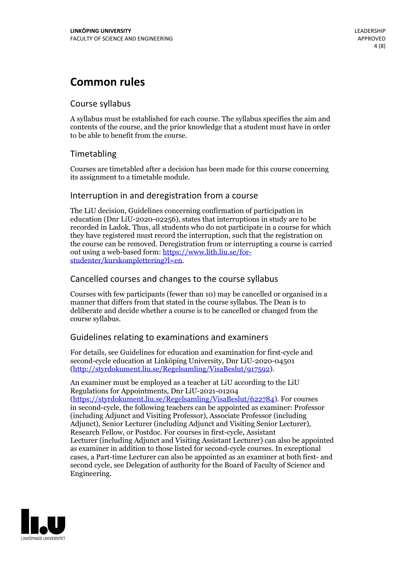## **Common rules**

### Course syllabus

A syllabus must be established for each course. The syllabus specifies the aim and contents of the course, and the prior knowledge that a student must have in order to be able to benefit from the course.

## Timetabling

Courses are timetabled after a decision has been made for this course concerning its assignment to a timetable module.

### Interruption in and deregistration from a course

The LiU decision, Guidelines concerning confirmation of participation in education (Dnr LiU-2020-02256), states that interruptions in study are to be recorded in Ladok. Thus, all students who do not participate in a course for which they have registered must record the interruption, such that the registration on the course can be removed. Deregistration from or interrupting a course is carried out using <sup>a</sup> web-based form: https://www.lith.liu.se/for- [studenter/kurskomplettering?l=en.](https://www.lith.liu.se/for-studenter/kurskomplettering?l=en)

## Cancelled courses and changes to the course syllabus

Courses with few participants (fewer than 10) may be cancelled or organised in a manner that differs from that stated in the course syllabus. The Dean is to deliberate and decide whether a course is to be cancelled or changed from the course syllabus.

## Guidelines relating to examinations and examiners

For details, see Guidelines for education and examination for first-cycle and second-cycle education at Linköping University, Dnr LiU-2020-04501 [\(http://styrdokument.liu.se/Regelsamling/VisaBeslut/917592\)](http://styrdokument.liu.se/Regelsamling/VisaBeslut/917592).

An examiner must be employed as a teacher at LiU according to the LiU Regulations for Appointments, Dnr LiU-2021-01204 [\(https://styrdokument.liu.se/Regelsamling/VisaBeslut/622784](https://styrdokument.liu.se/Regelsamling/VisaBeslut/622784)). For courses in second-cycle, the following teachers can be appointed as examiner: Professor (including Adjunct and Visiting Professor), Associate Professor (including Adjunct), Senior Lecturer (including Adjunct and Visiting Senior Lecturer), Research Fellow, or Postdoc. For courses in first-cycle, Assistant Lecturer (including Adjunct and Visiting Assistant Lecturer) can also be appointed as examiner in addition to those listed for second-cycle courses. In exceptional cases, a Part-time Lecturer can also be appointed as an examiner at both first- and second cycle, see Delegation of authority for the Board of Faculty of Science and Engineering.

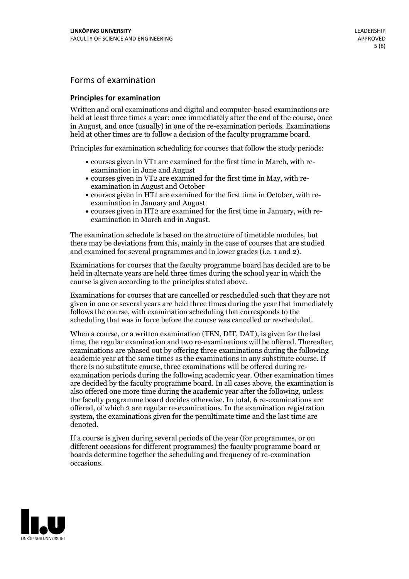## Forms of examination

#### **Principles for examination**

Written and oral examinations and digital and computer-based examinations are held at least three times a year: once immediately after the end of the course, once in August, and once (usually) in one of the re-examination periods. Examinations held at other times are to follow a decision of the faculty programme board.

Principles for examination scheduling for courses that follow the study periods:

- courses given in VT1 are examined for the first time in March, with re-examination in June and August
- courses given in VT2 are examined for the first time in May, with re-examination in August and October
- courses given in HT1 are examined for the first time in October, with re-examination in January and August
- courses given in HT2 are examined for the first time in January, with re-examination in March and in August.

The examination schedule is based on the structure of timetable modules, but there may be deviations from this, mainly in the case of courses that are studied and examined for several programmes and in lower grades (i.e. 1 and 2).

Examinations for courses that the faculty programme board has decided are to be held in alternate years are held three times during the school year in which the course is given according to the principles stated above.

Examinations for courses that are cancelled orrescheduled such that they are not given in one or several years are held three times during the year that immediately follows the course, with examination scheduling that corresponds to the scheduling that was in force before the course was cancelled or rescheduled.

When a course, or a written examination (TEN, DIT, DAT), is given for the last time, the regular examination and two re-examinations will be offered. Thereafter, examinations are phased out by offering three examinations during the following academic year at the same times as the examinations in any substitute course. If there is no substitute course, three examinations will be offered during re- examination periods during the following academic year. Other examination times are decided by the faculty programme board. In all cases above, the examination is also offered one more time during the academic year after the following, unless the faculty programme board decides otherwise. In total, 6 re-examinations are offered, of which 2 are regular re-examinations. In the examination registration system, the examinations given for the penultimate time and the last time are denoted.

If a course is given during several periods of the year (for programmes, or on different occasions for different programmes) the faculty programme board or boards determine together the scheduling and frequency of re-examination occasions.

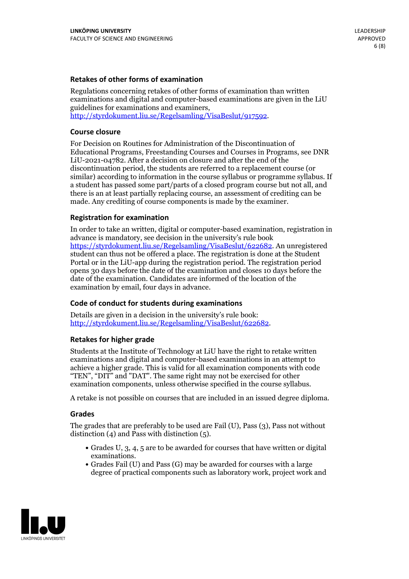### **Retakes of other forms of examination**

Regulations concerning retakes of other forms of examination than written examinations and digital and computer-based examinations are given in the LiU guidelines for examinations and examiners, [http://styrdokument.liu.se/Regelsamling/VisaBeslut/917592.](http://styrdokument.liu.se/Regelsamling/VisaBeslut/917592)

#### **Course closure**

For Decision on Routines for Administration of the Discontinuation of Educational Programs, Freestanding Courses and Courses in Programs, see DNR LiU-2021-04782. After a decision on closure and after the end of the discontinuation period, the students are referred to a replacement course (or similar) according to information in the course syllabus or programme syllabus. If a student has passed some part/parts of a closed program course but not all, and there is an at least partially replacing course, an assessment of crediting can be made. Any crediting of course components is made by the examiner.

### **Registration for examination**

In order to take an written, digital or computer-based examination, registration in advance is mandatory, see decision in the university's rule book [https://styrdokument.liu.se/Regelsamling/VisaBeslut/622682.](https://styrdokument.liu.se/Regelsamling/VisaBeslut/622682) An unregistered student can thus not be offered a place. The registration is done at the Student Portal or in the LiU-app during the registration period. The registration period opens 30 days before the date of the examination and closes 10 days before the date of the examination. Candidates are informed of the location of the examination by email, four days in advance.

### **Code of conduct for students during examinations**

Details are given in a decision in the university's rule book: <http://styrdokument.liu.se/Regelsamling/VisaBeslut/622682>.

#### **Retakes for higher grade**

Students at the Institute of Technology at LiU have the right to retake written examinations and digital and computer-based examinations in an attempt to achieve a higher grade. This is valid for all examination components with code "TEN", "DIT" and "DAT". The same right may not be exercised for other examination components, unless otherwise specified in the course syllabus.

A retake is not possible on courses that are included in an issued degree diploma.

#### **Grades**

The grades that are preferably to be used are Fail (U), Pass (3), Pass not without distinction  $(4)$  and Pass with distinction  $(5)$ .

- Grades U, 3, 4, 5 are to be awarded for courses that have written or digital examinations.<br>• Grades Fail (U) and Pass (G) may be awarded for courses with a large
- degree of practical components such as laboratory work, project work and

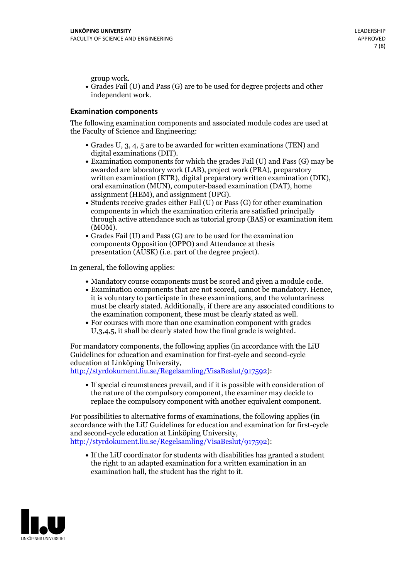group work.<br>• Grades Fail (U) and Pass (G) are to be used for degree projects and other independent work.

### **Examination components**

The following examination components and associated module codes are used at the Faculty of Science and Engineering:

- Grades U, 3, 4, 5 are to be awarded for written examinations (TEN) and
- digital examinations (DIT).<br>• Examination components for which the grades Fail (U) and Pass (G) may be awarded are laboratory work (LAB), project work (PRA), preparatory written examination (KTR), digital preparatory written examination (DIK), oral examination (MUN), computer-based examination (DAT), home
- assignment (HEM), and assignment (UPG).<br>• Students receive grades either Fail (U) or Pass (G) for other examination components in which the examination criteria are satisfied principally through active attendance such as tutorial group (BAS) or examination item
- (MOM).<br>• Grades Fail (U) and Pass (G) are to be used for the examination components Opposition (OPPO) and Attendance at thesis presentation (AUSK) (i.e. part of the degree project).

In general, the following applies:

- 
- Mandatory course components must be scored and given <sup>a</sup> module code. Examination components that are not scored, cannot be mandatory. Hence, it is voluntary to participate in these examinations, and the voluntariness must be clearly stated. Additionally, if there are any associated conditions to
- the examination component, these must be clearly stated as well.<br>• For courses with more than one examination component with grades U,3,4,5, it shall be clearly stated how the final grade is weighted.

For mandatory components, the following applies (in accordance with the LiU Guidelines for education and examination for first-cycle and second-cycle education at Linköping University,<br>[http://styrdokument.liu.se/Regelsamling/VisaBeslut/917592\)](http://styrdokument.liu.se/Regelsamling/VisaBeslut/917592):

If special circumstances prevail, and if it is possible with consideration of the nature of the compulsory component, the examiner may decide to replace the compulsory component with another equivalent component.

For possibilities to alternative forms of examinations, the following applies (in accordance with the LiU Guidelines for education and examination for first-cycle [http://styrdokument.liu.se/Regelsamling/VisaBeslut/917592\)](http://styrdokument.liu.se/Regelsamling/VisaBeslut/917592):

If the LiU coordinator for students with disabilities has granted a student the right to an adapted examination for a written examination in an examination hall, the student has the right to it.